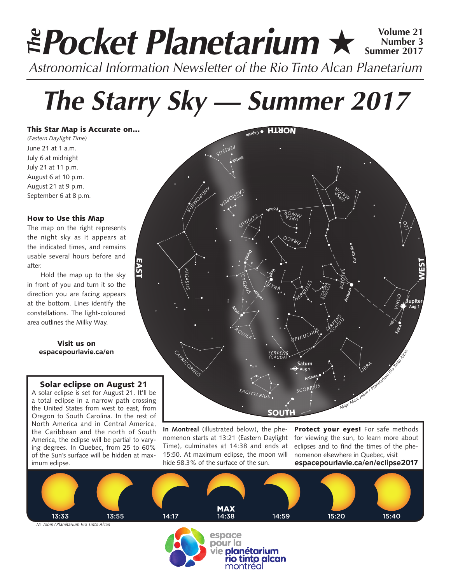# **Pocket Planetarium ★ 
Number 3 Number 3 Approximal Procket Number 3 Summer 2017** *Astronomical Information Newsletter of the Rio Tinto Alcan Planetarium The*

# *The Starry Sky — Summer 2017*

This Star Map is Accurate on…

*(Eastern Daylight Time)* June 21 at 1 a.m. July 6 at midnight July 21 at 11 p.m. August 6 at 10 p.m. August 21 at 9 p.m. September 6 at 8 p.m.

### How to Use this Map

The map on the right represents the night sky as it appears at the indicated times, and remains usable several hours before and after.

Hold the map up to the sky in front of you and turn it so the direction you are facing appears at the bottom. Lines identify the constellations. The light-coloured area outlines the Milky Way.

> Visit us on **espacepourlavie.ca/en**

## Solar eclipse on August 21

A solar eclipse is set for August 21. It'll be a total eclipse in a narrow path crossing the United States from west to east, from Oregon to South Carolina. In the rest of North America and in Central America, the Caribbean and the north of South America, the eclipse will be partial to varying degrees. In Quebec, from 25 to 60% of the Sun's surface will be hidden at maximum eclipse.



**In Montreal** (illustrated below), the phenomenon starts at 13:21 (Eastern Daylight Time), culminates at 14:38 and ends at 15:50. At maximum eclipse, the moon will hide 58.3% of the surface of the sun.

Protect your eyes! For safe methods for viewing the sun, to learn more about eclipses and to find the times of the phenomenon elsewhere in Quebec, visit **espacepourlavie.ca/en/eclipse2017**





pour la vie planétarium io tinto alcan montréal